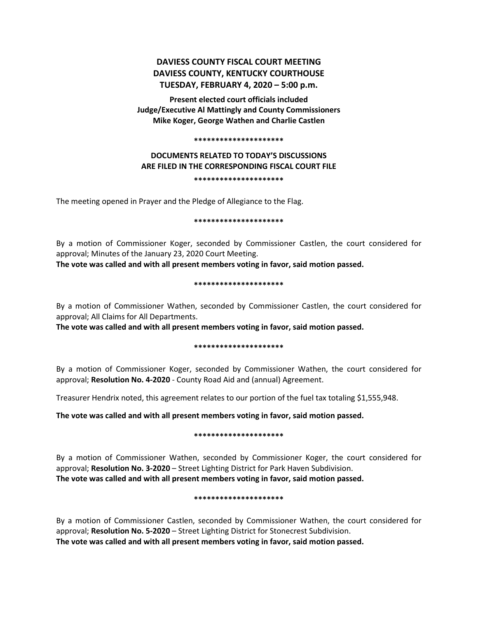# **DAVIESS COUNTY FISCAL COURT MEETING DAVIESS COUNTY, KENTUCKY COURTHOUSE TUESDAY, FEBRUARY 4, 2020 – 5:00 p.m.**

**Present elected court officials included Judge/Executive Al Mattingly and County Commissioners Mike Koger, George Wathen and Charlie Castlen**

#### **\*\*\*\*\*\*\*\*\*\*\*\*\*\*\*\*\*\*\*\*\***

# **DOCUMENTS RELATED TO TODAY'S DISCUSSIONS ARE FILED IN THE CORRESPONDING FISCAL COURT FILE \*\*\*\*\*\*\*\*\*\*\*\*\*\*\*\*\*\*\*\*\***

The meeting opened in Prayer and the Pledge of Allegiance to the Flag.

#### **\*\*\*\*\*\*\*\*\*\*\*\*\*\*\*\*\*\*\*\*\***

By a motion of Commissioner Koger, seconded by Commissioner Castlen, the court considered for approval; Minutes of the January 23, 2020 Court Meeting.

**The vote was called and with all present members voting in favor, said motion passed.** 

#### **\*\*\*\*\*\*\*\*\*\*\*\*\*\*\*\*\*\*\*\*\***

By a motion of Commissioner Wathen, seconded by Commissioner Castlen, the court considered for approval; All Claims for All Departments.

**The vote was called and with all present members voting in favor, said motion passed.** 

### **\*\*\*\*\*\*\*\*\*\*\*\*\*\*\*\*\*\*\*\*\***

By a motion of Commissioner Koger, seconded by Commissioner Wathen, the court considered for approval; **Resolution No. 4-2020** - County Road Aid and (annual) Agreement.

Treasurer Hendrix noted, this agreement relates to our portion of the fuel tax totaling \$1,555,948.

**The vote was called and with all present members voting in favor, said motion passed.** 

### **\*\*\*\*\*\*\*\*\*\*\*\*\*\*\*\*\*\*\*\*\***

By a motion of Commissioner Wathen, seconded by Commissioner Koger, the court considered for approval; **Resolution No. 3-2020** – Street Lighting District for Park Haven Subdivision. **The vote was called and with all present members voting in favor, said motion passed.** 

#### **\*\*\*\*\*\*\*\*\*\*\*\*\*\*\*\*\*\*\*\*\***

By a motion of Commissioner Castlen, seconded by Commissioner Wathen, the court considered for approval; **Resolution No. 5-2020** – Street Lighting District for Stonecrest Subdivision. **The vote was called and with all present members voting in favor, said motion passed.**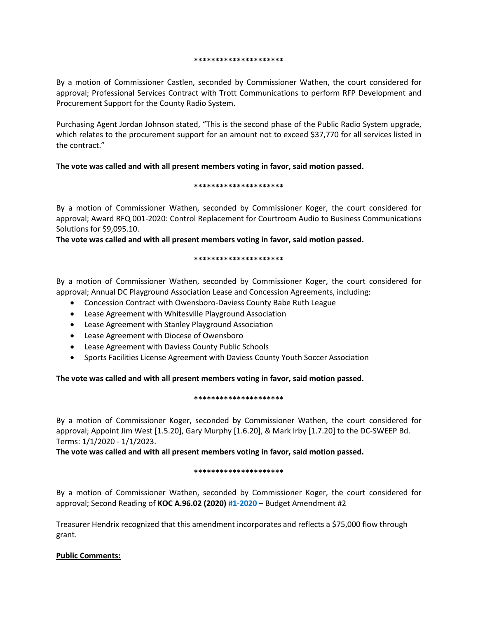#### **\*\*\*\*\*\*\*\*\*\*\*\*\*\*\*\*\*\*\*\*\***

By a motion of Commissioner Castlen, seconded by Commissioner Wathen, the court considered for approval; Professional Services Contract with Trott Communications to perform RFP Development and Procurement Support for the County Radio System.

Purchasing Agent Jordan Johnson stated, "This is the second phase of the Public Radio System upgrade, which relates to the procurement support for an amount not to exceed \$37,770 for all services listed in the contract."

# **The vote was called and with all present members voting in favor, said motion passed.**

### **\*\*\*\*\*\*\*\*\*\*\*\*\*\*\*\*\*\*\*\*\***

By a motion of Commissioner Wathen, seconded by Commissioner Koger, the court considered for approval; Award RFQ 001-2020: Control Replacement for Courtroom Audio to Business Communications Solutions for \$9,095.10.

# **The vote was called and with all present members voting in favor, said motion passed.**

### **\*\*\*\*\*\*\*\*\*\*\*\*\*\*\*\*\*\*\*\*\***

By a motion of Commissioner Wathen, seconded by Commissioner Koger, the court considered for approval; Annual DC Playground Association Lease and Concession Agreements, including:

- Concession Contract with Owensboro-Daviess County Babe Ruth League
- Lease Agreement with Whitesville Playground Association
- Lease Agreement with Stanley Playground Association
- Lease Agreement with Diocese of Owensboro
- Lease Agreement with Daviess County Public Schools
- Sports Facilities License Agreement with Daviess County Youth Soccer Association

# **The vote was called and with all present members voting in favor, said motion passed.**

### **\*\*\*\*\*\*\*\*\*\*\*\*\*\*\*\*\*\*\*\*\***

By a motion of Commissioner Koger, seconded by Commissioner Wathen, the court considered for approval; Appoint Jim West [1.5.20], Gary Murphy [1.6.20], & Mark Irby [1.7.20] to the DC-SWEEP Bd. Terms: 1/1/2020 - 1/1/2023.

**The vote was called and with all present members voting in favor, said motion passed.** 

### **\*\*\*\*\*\*\*\*\*\*\*\*\*\*\*\*\*\*\*\*\***

By a motion of Commissioner Wathen, seconded by Commissioner Koger, the court considered for approval; Second Reading of **KOC A.96.02 (2020) #1-2020** – Budget Amendment #2

Treasurer Hendrix recognized that this amendment incorporates and reflects a \$75,000 flow through grant.

# **Public Comments:**